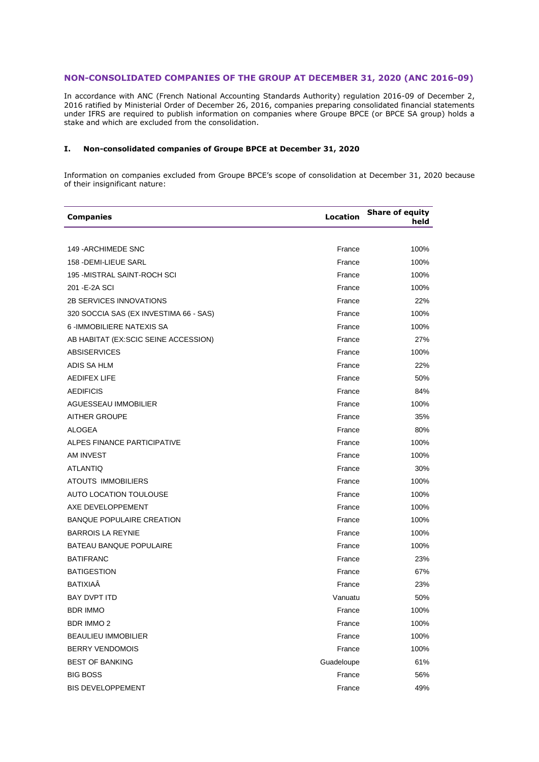## **NON-CONSOLIDATED COMPANIES OF THE GROUP AT DECEMBER 31, 2020 (ANC 2016-09)**

In accordance with ANC (French National Accounting Standards Authority) regulation 2016-09 of December 2, 2016 ratified by Ministerial Order of December 26, 2016, companies preparing consolidated financial statements under IFRS are required to publish information on companies where Groupe BPCE (or BPCE SA group) holds a stake and which are excluded from the consolidation.

## **I. Non-consolidated companies of Groupe BPCE at December 31, 2020**

Information on companies excluded from Groupe BPCE's scope of consolidation at December 31, 2020 because of their insignificant nature:

| <b>Companies</b>                       | Location   | <b>Share of equity</b><br>held |
|----------------------------------------|------------|--------------------------------|
|                                        |            |                                |
| 149 - ARCHIMEDE SNC                    | France     | 100%                           |
| 158 - DEMI-LIEUE SARL                  | France     | 100%                           |
| 195 - MISTRAL SAINT-ROCH SCI           | France     | 100%                           |
| 201 - E-2A SCI                         | France     | 100%                           |
| <b>2B SERVICES INNOVATIONS</b>         | France     | 22%                            |
| 320 SOCCIA SAS (EX INVESTIMA 66 - SAS) | France     | 100%                           |
| 6 - IMMOBILIERE NATEXIS SA             | France     | 100%                           |
| AB HABITAT (EX:SCIC SEINE ACCESSION)   | France     | 27%                            |
| <b>ABSISERVICES</b>                    | France     | 100%                           |
| ADIS SA HLM                            | France     | 22%                            |
| <b>AEDIFEX LIFE</b>                    | France     | 50%                            |
| <b>AEDIFICIS</b>                       | France     | 84%                            |
| AGUESSEAU IMMOBILIER                   | France     | 100%                           |
| <b>AITHER GROUPE</b>                   | France     | 35%                            |
| <b>ALOGEA</b>                          | France     | 80%                            |
| ALPES FINANCE PARTICIPATIVE            | France     | 100%                           |
| <b>AM INVEST</b>                       | France     | 100%                           |
| <b>ATLANTIQ</b>                        | France     | 30%                            |
| <b>ATOUTS IMMOBILIERS</b>              | France     | 100%                           |
| AUTO LOCATION TOULOUSE                 | France     | 100%                           |
| AXE DEVELOPPEMENT                      | France     | 100%                           |
| <b>BANQUE POPULAIRE CREATION</b>       | France     | 100%                           |
| <b>BARROIS LA REYNIE</b>               | France     | 100%                           |
| <b>BATEAU BANQUE POPULAIRE</b>         | France     | 100%                           |
| <b>BATIFRANC</b>                       | France     | 23%                            |
| <b>BATIGESTION</b>                     | France     | 67%                            |
| BATIXIAÂ                               | France     | 23%                            |
| <b>BAY DVPT ITD</b>                    | Vanuatu    | 50%                            |
| <b>BDR IMMO</b>                        | France     | 100%                           |
| <b>BDR IMMO 2</b>                      | France     | 100%                           |
| <b>BEAULIEU IMMOBILIER</b>             | France     | 100%                           |
| <b>BERRY VENDOMOIS</b>                 | France     | 100%                           |
| <b>BEST OF BANKING</b>                 | Guadeloupe | 61%                            |
| <b>BIG BOSS</b>                        | France     | 56%                            |
| <b>BIS DEVELOPPEMENT</b>               | France     | 49%                            |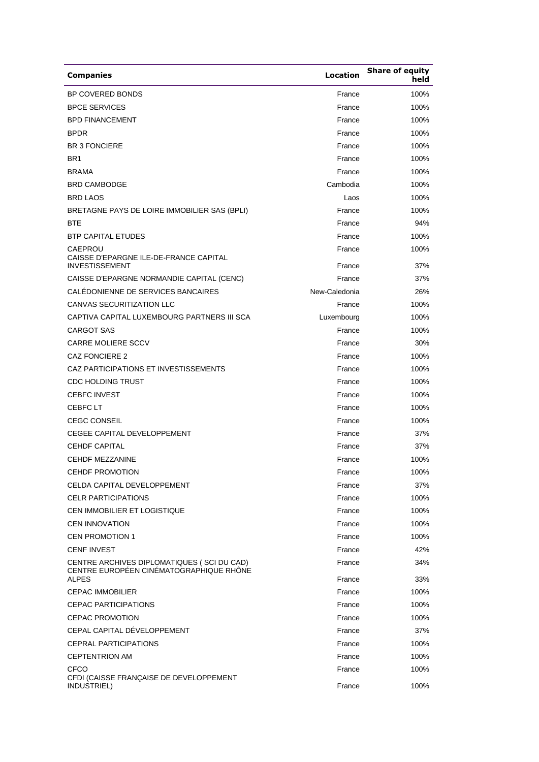| <b>Companies</b>                                                                                      | <b>Location</b>  | <b>Share of equity</b><br>held |
|-------------------------------------------------------------------------------------------------------|------------------|--------------------------------|
| BP COVERED BONDS                                                                                      | France           | 100%                           |
| <b>BPCE SERVICES</b>                                                                                  | France           | 100%                           |
| <b>BPD FINANCEMENT</b>                                                                                | France           | 100%                           |
| <b>BPDR</b>                                                                                           | France           | 100%                           |
| <b>BR 3 FONCIERE</b>                                                                                  | France           | 100%                           |
| BR <sub>1</sub>                                                                                       | France           | 100%                           |
| <b>BRAMA</b>                                                                                          | France           | 100%                           |
| <b>BRD CAMBODGE</b>                                                                                   | Cambodia         | 100%                           |
| <b>BRD LAOS</b>                                                                                       | Laos             | 100%                           |
| BRETAGNE PAYS DE LOIRE IMMOBILIER SAS (BPLI)                                                          | France           | 100%                           |
| <b>BTE</b>                                                                                            | France           | 94%                            |
| <b>BTP CAPITAL ETUDES</b>                                                                             | France           | 100%                           |
| CAEPROU<br>CAISSE D'EPARGNE ILE-DE-FRANCE CAPITAL                                                     | France           | 100%                           |
| <b>INVESTISSEMENT</b>                                                                                 | France           | 37%                            |
| CAISSE D'EPARGNE NORMANDIE CAPITAL (CENC)                                                             | France           | 37%                            |
| CALÉDONIENNE DE SERVICES BANCAIRES                                                                    | New-Caledonia    | 26%                            |
| <b>CANVAS SECURITIZATION LLC</b>                                                                      | France           | 100%                           |
| CAPTIVA CAPITAL LUXEMBOURG PARTNERS III SCA                                                           | Luxembourg       | 100%                           |
| <b>CARGOT SAS</b>                                                                                     | France           | 100%                           |
| <b>CARRE MOLIERE SCCV</b>                                                                             | France           | 30%                            |
| CAZ FONCIERE 2                                                                                        | France           | 100%                           |
| CAZ PARTICIPATIONS ET INVESTISSEMENTS                                                                 | France           | 100%                           |
| <b>CDC HOLDING TRUST</b>                                                                              | France           | 100%                           |
| <b>CEBFC INVEST</b>                                                                                   | France           | 100%                           |
| CEBFC LT                                                                                              | France           | 100%                           |
| <b>CEGC CONSEIL</b>                                                                                   | France           | 100%                           |
| <b>CEGEE CAPITAL DEVELOPPEMENT</b>                                                                    | France           | 37%                            |
| <b>CEHDF CAPITAL</b>                                                                                  | France           | 37%                            |
| <b>CEHDF MEZZANINE</b>                                                                                | France           | 100%                           |
| CEHDF PROMOTION                                                                                       | France           | 100%                           |
| <b>CELDA CAPITAL DEVELOPPEMENT</b>                                                                    | France           | 37%                            |
| <b>CELR PARTICIPATIONS</b>                                                                            | France           | 100%                           |
| CEN IMMOBILIER ET LOGISTIQUE                                                                          | France           | 100%                           |
| <b>CEN INNOVATION</b>                                                                                 | France           | 100%                           |
| <b>CEN PROMOTION 1</b>                                                                                | France           | 100%                           |
| <b>CENF INVEST</b>                                                                                    | France           | 42%                            |
| CENTRE ARCHIVES DIPLOMATIQUES (SCI DU CAD)<br>CENTRE EUROPÉEN CINÉMATOGRAPHIQUE RHÔNE<br><b>ALPES</b> | France<br>France | 34%<br>33%                     |
| <b>CEPAC IMMOBILIER</b>                                                                               | France           | 100%                           |
| <b>CEPAC PARTICIPATIONS</b>                                                                           | France           | 100%                           |
| <b>CEPAC PROMOTION</b>                                                                                | France           | 100%                           |
| CEPAL CAPITAL DÉVELOPPEMENT                                                                           | France           | 37%                            |
| <b>CEPRAL PARTICIPATIONS</b>                                                                          | France           | 100%                           |
| <b>CEPTENTRION AM</b>                                                                                 | France           | 100%                           |
| <b>CFCO</b>                                                                                           | France           | 100%                           |
| CFDI (CAISSE FRANÇAISE DE DEVELOPPEMENT<br>INDUSTRIEL)                                                | France           | 100%                           |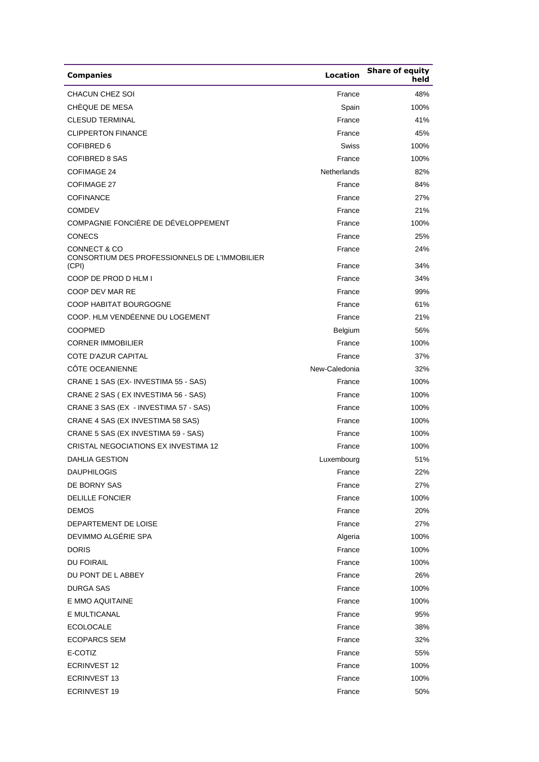| <b>Companies</b>                                       | <b>Location</b> | <b>Share of equity</b><br>held |
|--------------------------------------------------------|-----------------|--------------------------------|
| CHACUN CHEZ SOI                                        | France          | 48%                            |
| CHÈQUE DE MESA                                         | Spain           | 100%                           |
| <b>CLESUD TERMINAL</b>                                 | France          | 41%                            |
| <b>CLIPPERTON FINANCE</b>                              | France          | 45%                            |
| COFIBRED 6                                             | Swiss           | 100%                           |
| <b>COFIBRED 8 SAS</b>                                  | France          | 100%                           |
| <b>COFIMAGE 24</b>                                     | Netherlands     | 82%                            |
| <b>COFIMAGE 27</b>                                     | France          | 84%                            |
| <b>COFINANCE</b>                                       | France          | 27%                            |
| <b>COMDEV</b>                                          | France          | 21%                            |
| COMPAGNIE FONCIÈRE DE DÉVELOPPEMENT                    | France          | 100%                           |
| <b>CONECS</b>                                          | France          | 25%                            |
| <b>CONNECT &amp; CO</b>                                | France          | 24%                            |
| CONSORTIUM DES PROFESSIONNELS DE L'IMMOBILIER<br>(CPI) | France          | 34%                            |
| COOP DE PROD D HLM I                                   | France          | 34%                            |
| COOP DEV MAR RE                                        | France          | 99%                            |
| COOP HABITAT BOURGOGNE                                 | France          | 61%                            |
| COOP. HLM VENDÉENNE DU LOGEMENT                        | France          | 21%                            |
| <b>COOPMED</b>                                         | Belgium         | 56%                            |
| <b>CORNER IMMOBILIER</b>                               | France          | 100%                           |
| <b>COTE D'AZUR CAPITAL</b>                             | France          | 37%                            |
| CÔTE OCEANIENNE                                        | New-Caledonia   | 32%                            |
| CRANE 1 SAS (EX-INVESTIMA 55 - SAS)                    | France          | 100%                           |
| CRANE 2 SAS (EX INVESTIMA 56 - SAS)                    | France          | 100%                           |
| CRANE 3 SAS (EX - INVESTIMA 57 - SAS)                  | France          | 100%                           |
| CRANE 4 SAS (EX INVESTIMA 58 SAS)                      | France          | 100%                           |
| CRANE 5 SAS (EX INVESTIMA 59 - SAS)                    | France          | 100%                           |
| CRISTAL NEGOCIATIONS EX INVESTIMA 12                   | France          | 100%                           |
| <b>DAHLIA GESTION</b>                                  | Luxembourg      | 51%                            |
| <b>DAUPHILOGIS</b>                                     | France          | 22%                            |
| DE BORNY SAS                                           | France          | 27%                            |
| <b>DELILLE FONCIER</b>                                 | France          | 100%                           |
| <b>DEMOS</b>                                           | France          | 20%                            |
| DEPARTEMENT DE LOISE                                   | France          | 27%                            |
| DEVIMMO ALGÉRIE SPA                                    | Algeria         | 100%                           |
| <b>DORIS</b>                                           | France          | 100%                           |
| <b>DU FOIRAIL</b>                                      | France          | 100%                           |
| DU PONT DE LABBEY                                      | France          | 26%                            |
| DURGA SAS                                              | France          | 100%                           |
| E MMO AQUITAINE                                        | France          | 100%                           |
| E MULTICANAL                                           | France          | 95%                            |
| <b>ECOLOCALE</b>                                       | France          | 38%                            |
| <b>ECOPARCS SEM</b>                                    | France          | 32%                            |
| E-COTIZ                                                | France          | 55%                            |
| <b>ECRINVEST 12</b>                                    | France          | 100%                           |
| <b>ECRINVEST 13</b>                                    | France          | 100%                           |
| <b>ECRINVEST 19</b>                                    | France          | 50%                            |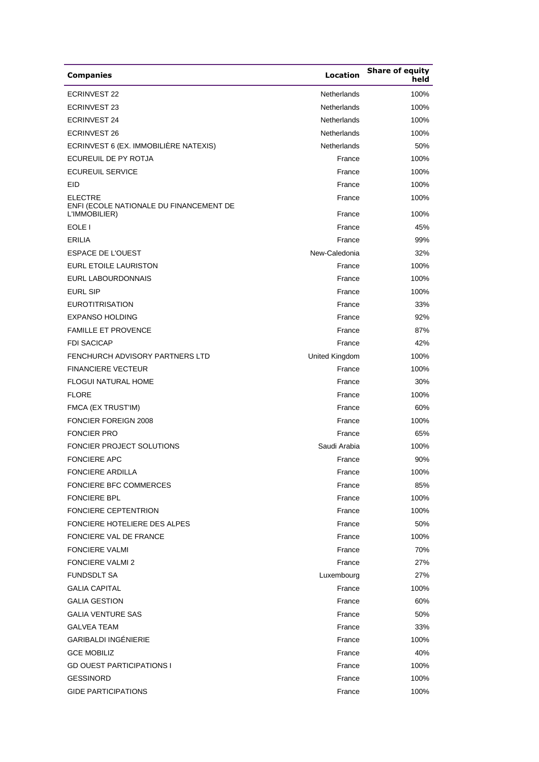| <b>Companies</b>                                          | <b>Location</b>    | <b>Share of equity</b><br>held |
|-----------------------------------------------------------|--------------------|--------------------------------|
| <b>ECRINVEST 22</b>                                       | Netherlands        | 100%                           |
| <b>ECRINVEST 23</b>                                       | <b>Netherlands</b> | 100%                           |
| <b>ECRINVEST 24</b>                                       | Netherlands        | 100%                           |
| <b>ECRINVEST 26</b>                                       | Netherlands        | 100%                           |
| ECRINVEST 6 (EX. IMMOBILIÈRE NATEXIS)                     | Netherlands        | 50%                            |
| ECUREUIL DE PY ROTJA                                      | France             | 100%                           |
| <b>ECUREUIL SERVICE</b>                                   | France             | 100%                           |
| EID                                                       | France             | 100%                           |
| <b>ELECTRE</b><br>ENFI (ECOLE NATIONALE DU FINANCEMENT DE | France             | 100%                           |
| L'IMMOBILIER)                                             | France             | 100%                           |
| EOLE I                                                    | France             | 45%                            |
| <b>ERILIA</b>                                             | France             | 99%                            |
| <b>ESPACE DE L'OUEST</b>                                  | New-Caledonia      | 32%                            |
| EURL ETOILE LAURISTON                                     | France             | 100%                           |
| EURL LABOURDONNAIS                                        | France             | 100%                           |
| <b>EURL SIP</b>                                           | France             | 100%                           |
| <b>EUROTITRISATION</b>                                    | France             | 33%                            |
| <b>EXPANSO HOLDING</b>                                    | France             | 92%                            |
| <b>FAMILLE ET PROVENCE</b>                                | France             | 87%                            |
| <b>FDI SACICAP</b>                                        | France             | 42%                            |
| FENCHURCH ADVISORY PARTNERS LTD                           | United Kingdom     | 100%                           |
| <b>FINANCIERE VECTEUR</b>                                 | France             | 100%                           |
| <b>FLOGUI NATURAL HOME</b>                                | France             | 30%                            |
| <b>FLORE</b>                                              | France             | 100%                           |
| FMCA (EX TRUST'IM)                                        | France             | 60%                            |
| <b>FONCIER FOREIGN 2008</b>                               | France             | 100%                           |
| <b>FONCIER PRO</b>                                        | France             | 65%                            |
| <b>FONCIER PROJECT SOLUTIONS</b>                          | Saudi Arabia       | 100%                           |
| <b>FONCIERE APC</b>                                       | France             | 90%                            |
| FONCIERE ARDILLA                                          | France             | 100%                           |
| <b>FONCIERE BFC COMMERCES</b>                             | France             | 85%                            |
| <b>FONCIERE BPL</b>                                       | France             | 100%                           |
| <b>FONCIERE CEPTENTRION</b>                               | France             | 100%                           |
| FONCIERE HOTELIERE DES ALPES                              | France             | 50%                            |
| FONCIERE VAL DE FRANCE                                    | France             | 100%                           |
| <b>FONCIERE VALMI</b>                                     | France             | 70%                            |
| <b>FONCIERE VALMI 2</b>                                   | France             | 27%                            |
| <b>FUNDSDLT SA</b>                                        | Luxembourg         | 27%                            |
| <b>GALIA CAPITAL</b>                                      | France             | 100%                           |
| <b>GALIA GESTION</b>                                      | France             | 60%                            |
| <b>GALIA VENTURE SAS</b>                                  | France             | 50%                            |
| <b>GALVEA TEAM</b>                                        | France             | 33%                            |
| <b>GARIBALDI INGÉNIERIE</b>                               | France             | 100%                           |
| <b>GCE MOBILIZ</b>                                        | France             | 40%                            |
| <b>GD OUEST PARTICIPATIONS I</b>                          | France             | 100%                           |
| <b>GESSINORD</b>                                          | France             | 100%                           |
| <b>GIDE PARTICIPATIONS</b>                                | France             | 100%                           |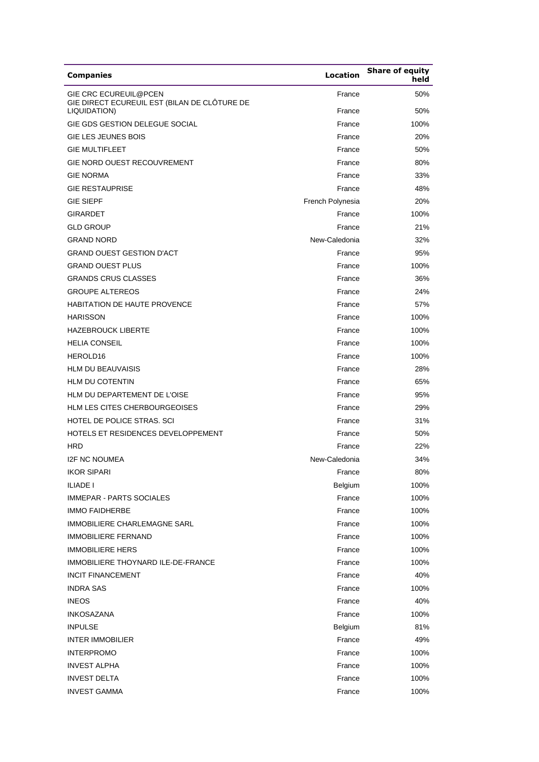| <b>Companies</b>                                                             | Location         | <b>Share of equity</b><br>held |
|------------------------------------------------------------------------------|------------------|--------------------------------|
| <b>GIE CRC ECUREUIL@PCEN</b><br>GIE DIRECT ECUREUIL EST (BILAN DE CLÔTURE DE | France           | 50%                            |
| LIQUIDATION)                                                                 | France           | 50%                            |
| GIE GDS GESTION DELEGUE SOCIAL                                               | France           | 100%                           |
| <b>GIE LES JEUNES BOIS</b>                                                   | France           | 20%                            |
| <b>GIE MULTIFLEET</b>                                                        | France           | 50%                            |
| <b>GIE NORD OUEST RECOUVREMENT</b>                                           | France           | 80%                            |
| <b>GIE NORMA</b>                                                             | France           | 33%                            |
| <b>GIE RESTAUPRISE</b>                                                       | France           | 48%                            |
| <b>GIE SIEPF</b>                                                             | French Polynesia | 20%                            |
| <b>GIRARDET</b>                                                              | France           | 100%                           |
| <b>GLD GROUP</b>                                                             | France           | 21%                            |
| <b>GRAND NORD</b>                                                            | New-Caledonia    | 32%                            |
| <b>GRAND OUEST GESTION D'ACT</b>                                             | France           | 95%                            |
| <b>GRAND OUEST PLUS</b>                                                      | France           | 100%                           |
| <b>GRANDS CRUS CLASSES</b>                                                   | France           | 36%                            |
| <b>GROUPE ALTEREOS</b>                                                       | France           | 24%                            |
| <b>HABITATION DE HAUTE PROVENCE</b>                                          | France           | 57%                            |
| <b>HARISSON</b>                                                              | France           | 100%                           |
| <b>HAZEBROUCK LIBERTE</b>                                                    | France           | 100%                           |
| <b>HELIA CONSEIL</b>                                                         | France           | 100%                           |
| HEROLD16                                                                     | France           | 100%                           |
| <b>HLM DU BEAUVAISIS</b>                                                     | France           | 28%                            |
| <b>HLM DU COTENTIN</b>                                                       | France           | 65%                            |
| HLM DU DEPARTEMENT DE L'OISE                                                 | France           | 95%                            |
| <b>HLM LES CITES CHERBOURGEOISES</b>                                         | France           | 29%                            |
| HOTEL DE POLICE STRAS. SCI                                                   | France           | 31%                            |
| HOTELS ET RESIDENCES DEVELOPPEMENT                                           | France           | 50%                            |
| <b>HRD</b>                                                                   | France           | 22%                            |
| <b>I2F NC NOUMEA</b>                                                         | New-Caledonia    | 34%                            |
| <b>IKOR SIPARI</b>                                                           | France           | 80%                            |
| ILIADE I                                                                     | <b>Belgium</b>   | 100%                           |
| <b>IMMEPAR - PARTS SOCIALES</b>                                              | France           | 100%                           |
| <b>IMMO FAIDHERBE</b>                                                        | France           | 100%                           |
| IMMOBILIERE CHARLEMAGNE SARL                                                 | France           | 100%                           |
| <b>IMMOBILIERE FERNAND</b>                                                   | France           | 100%                           |
| <b>IMMOBILIERE HERS</b>                                                      | France           | 100%                           |
| IMMOBILIERE THOYNARD ILE-DE-FRANCE                                           | France           | 100%                           |
| <b>INCIT FINANCEMENT</b>                                                     | France           | 40%                            |
| <b>INDRA SAS</b>                                                             | France           | 100%                           |
| <b>INEOS</b>                                                                 | France           | 40%                            |
| <b>INKOSAZANA</b>                                                            | France           | 100%                           |
| <b>INPULSE</b>                                                               | Belgium          | 81%                            |
| <b>INTER IMMOBILIER</b>                                                      | France           | 49%                            |
| <b>INTERPROMO</b>                                                            | France           | 100%                           |
| <b>INVEST ALPHA</b>                                                          | France           | 100%                           |
| <b>INVEST DELTA</b>                                                          | France           | 100%                           |
| <b>INVEST GAMMA</b>                                                          | France           | 100%                           |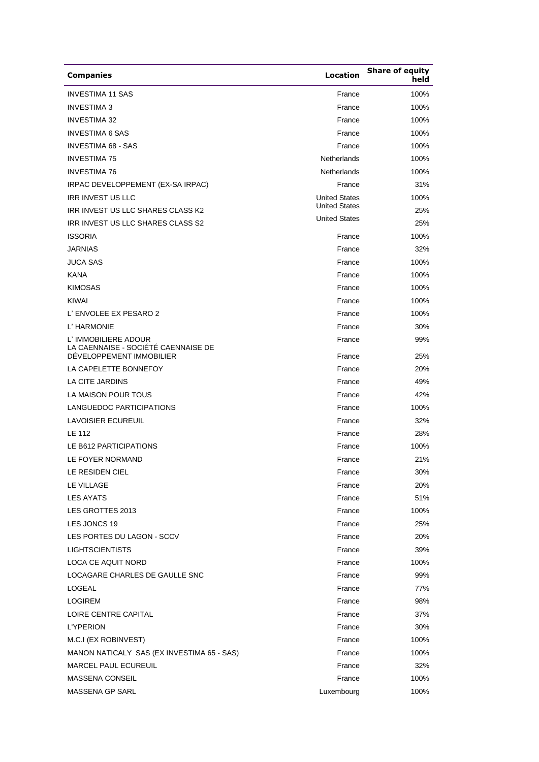| <b>Companies</b>                                            | Location             | <b>Share of equity</b><br>held |
|-------------------------------------------------------------|----------------------|--------------------------------|
| <b>INVESTIMA 11 SAS</b>                                     | France               | 100%                           |
| <b>INVESTIMA 3</b>                                          | France               | 100%                           |
| <b>INVESTIMA 32</b>                                         | France               | 100%                           |
| <b>INVESTIMA 6 SAS</b>                                      | France               | 100%                           |
| <b>INVESTIMA 68 - SAS</b>                                   | France               | 100%                           |
| <b>INVESTIMA 75</b>                                         | Netherlands          | 100%                           |
| <b>INVESTIMA 76</b>                                         | Netherlands          | 100%                           |
| IRPAC DEVELOPPEMENT (EX-SA IRPAC)                           | France               | 31%                            |
| <b>IRR INVEST US LLC</b>                                    | <b>United States</b> | 100%                           |
| IRR INVEST US LLC SHARES CLASS K2                           | <b>United States</b> | 25%                            |
| IRR INVEST US LLC SHARES CLASS S2                           | <b>United States</b> | 25%                            |
| <b>ISSORIA</b>                                              | France               | 100%                           |
| <b>JARNIAS</b>                                              | France               | 32%                            |
| <b>JUCA SAS</b>                                             | France               | 100%                           |
| <b>KANA</b>                                                 | France               | 100%                           |
| <b>KIMOSAS</b>                                              | France               | 100%                           |
| KIWAI                                                       | France               | 100%                           |
| L' ENVOLEE EX PESARO 2                                      | France               | 100%                           |
| L' HARMONIE                                                 | France               | 30%                            |
| L' IMMOBILIERE ADOUR<br>LA CAENNAISE - SOCIÉTÉ CAENNAISE DE | France               | 99%                            |
| DEVELOPPEMENT IMMOBILIER                                    | France               | 25%                            |
| LA CAPELETTE BONNEFOY                                       | France               | 20%                            |
| LA CITE JARDINS                                             | France               | 49%                            |
| LA MAISON POUR TOUS                                         | France               | 42%                            |
| LANGUEDOC PARTICIPATIONS                                    | France               | 100%                           |
| <b>LAVOISIER ECUREUIL</b>                                   | France               | 32%                            |
| LE 112                                                      | France               | 28%                            |
| LE B612 PARTICIPATIONS                                      | France               | 100%                           |
| LE FOYER NORMAND                                            | France               | 21%                            |
| LE RESIDEN CIEL                                             | France               | 30%                            |
| LE VILLAGE                                                  | France               | 20%                            |
| <b>LES AYATS</b>                                            | France               | 51%                            |
| LES GROTTES 2013                                            | France               | 100%                           |
| LES JONCS 19                                                | France               | 25%                            |
| LES PORTES DU LAGON - SCCV                                  | France               | 20%                            |
| <b>LIGHTSCIENTISTS</b>                                      | France               | 39%                            |
| <b>LOCA CE AQUIT NORD</b>                                   | France               | 100%                           |
| LOCAGARE CHARLES DE GAULLE SNC                              | France               | 99%                            |
| LOGEAL                                                      | France               | 77%                            |
| <b>LOGIREM</b>                                              | France               | 98%                            |
| LOIRE CENTRE CAPITAL                                        | France               | 37%                            |
| <b>L'YPERION</b>                                            | France               | 30%                            |
| M.C.I (EX ROBINVEST)                                        | France               | 100%                           |
| MANON NATICALY SAS (EX INVESTIMA 65 - SAS)                  | France               | 100%                           |
| <b>MARCEL PAUL ECUREUIL</b>                                 | France               | 32%                            |
| <b>MASSENA CONSEIL</b>                                      | France               | 100%                           |
| MASSENA GP SARL                                             | Luxembourg           | 100%                           |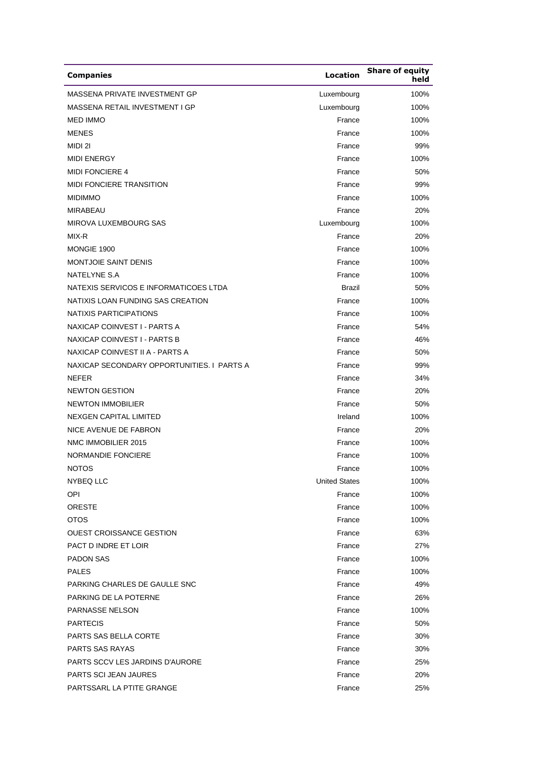| <b>Companies</b>                           | Location             | <b>Share of equity</b><br>held |
|--------------------------------------------|----------------------|--------------------------------|
| MASSENA PRIVATE INVESTMENT GP              | Luxembourg           | 100%                           |
| <b>MASSENA RETAIL INVESTMENT I GP</b>      | Luxembourg           | 100%                           |
| <b>MED IMMO</b>                            | France               | 100%                           |
| <b>MENES</b>                               | France               | 100%                           |
| MIDI 21                                    | France               | 99%                            |
| <b>MIDI ENERGY</b>                         | France               | 100%                           |
| <b>MIDI FONCIERE 4</b>                     | France               | 50%                            |
| <b>MIDI FONCIERE TRANSITION</b>            | France               | 99%                            |
| <b>MIDIMMO</b>                             | France               | 100%                           |
| <b>MIRABEAU</b>                            | France               | 20%                            |
| MIROVA LUXEMBOURG SAS                      | Luxembourg           | 100%                           |
| MIX-R                                      | France               | 20%                            |
| MONGIE 1900                                | France               | 100%                           |
| <b>MONTJOIE SAINT DENIS</b>                | France               | 100%                           |
| NATELYNE S.A                               | France               | 100%                           |
| NATEXIS SERVICOS E INFORMATICOES LTDA      | Brazil               | 50%                            |
| NATIXIS LOAN FUNDING SAS CREATION          | France               | 100%                           |
| NATIXIS PARTICIPATIONS                     | France               | 100%                           |
| NAXICAP COINVEST I - PARTS A               | France               | 54%                            |
| NAXICAP COINVEST I - PARTS B               | France               | 46%                            |
| NAXICAP COINVEST II A - PARTS A            | France               | 50%                            |
| NAXICAP SECONDARY OPPORTUNITIES. I PARTS A | France               | 99%                            |
| <b>NEFER</b>                               | France               | 34%                            |
| <b>NEWTON GESTION</b>                      | France               | 20%                            |
| <b>NEWTON IMMOBILIER</b>                   | France               | 50%                            |
| <b>NEXGEN CAPITAL LIMITED</b>              | Ireland              | 100%                           |
| NICE AVENUE DE FABRON                      | France               | 20%                            |
| NMC IMMOBILIER 2015                        | France               | 100%                           |
| NORMANDIE FONCIERE                         | France               | 100%                           |
| <b>NOTOS</b>                               | France               | 100%                           |
| NYBEQ LLC                                  | <b>United States</b> | 100%                           |
| OPI                                        | France               | 100%                           |
| <b>ORESTE</b>                              | France               | 100%                           |
| <b>OTOS</b>                                | France               | 100%                           |
| OUEST CROISSANCE GESTION                   | France               | 63%                            |
| PACT D INDRE ET LOIR                       | France               | 27%                            |
| <b>PADON SAS</b>                           | France               | 100%                           |
| <b>PALES</b>                               | France               | 100%                           |
| PARKING CHARLES DE GAULLE SNC              | France               | 49%                            |
| PARKING DE LA POTERNE                      | France               | 26%                            |
| PARNASSE NELSON                            | France               | 100%                           |
| <b>PARTECIS</b>                            | France               | 50%                            |
| PARTS SAS BELLA CORTE                      | France               | 30%                            |
| <b>PARTS SAS RAYAS</b>                     | France               | 30%                            |
| <b>PARTS SCCV LES JARDINS D'AURORE</b>     | France               | 25%                            |
| PARTS SCI JEAN JAURES                      | France               | 20%                            |
| PARTSSARL LA PTITE GRANGE                  | France               | 25%                            |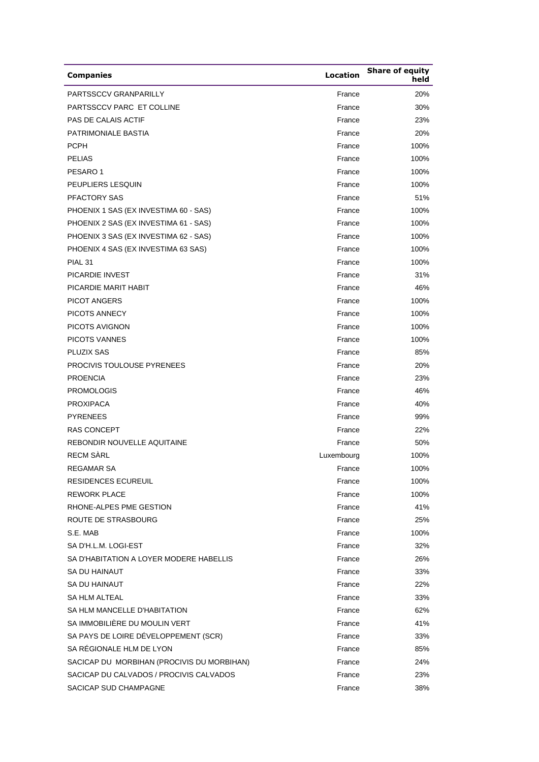| <b>Companies</b>                           | <b>Location</b> | <b>Share of equity</b><br>held |
|--------------------------------------------|-----------------|--------------------------------|
| PARTSSCCV GRANPARILLY                      | France          | 20%                            |
| PARTSSCCV PARC ET COLLINE                  | France          | 30%                            |
| <b>PAS DE CALAIS ACTIF</b>                 | France          | 23%                            |
| PATRIMONIALE BASTIA                        | France          | 20%                            |
| <b>PCPH</b>                                | France          | 100%                           |
| <b>PELIAS</b>                              | France          | 100%                           |
| PESARO <sub>1</sub>                        | France          | 100%                           |
| PEUPLIERS LESQUIN                          | France          | 100%                           |
| <b>PFACTORY SAS</b>                        | France          | 51%                            |
| PHOENIX 1 SAS (EX INVESTIMA 60 - SAS)      | France          | 100%                           |
| PHOENIX 2 SAS (EX INVESTIMA 61 - SAS)      | France          | 100%                           |
| PHOENIX 3 SAS (EX INVESTIMA 62 - SAS)      | France          | 100%                           |
| PHOENIX 4 SAS (EX INVESTIMA 63 SAS)        | France          | 100%                           |
| PIAL <sub>31</sub>                         | France          | 100%                           |
| <b>PICARDIE INVEST</b>                     | France          | 31%                            |
| PICARDIE MARIT HABIT                       | France          | 46%                            |
| <b>PICOT ANGERS</b>                        | France          | 100%                           |
| PICOTS ANNECY                              | France          | 100%                           |
| PICOTS AVIGNON                             | France          | 100%                           |
| <b>PICOTS VANNES</b>                       | France          | 100%                           |
| <b>PLUZIX SAS</b>                          | France          | 85%                            |
| <b>PROCIVIS TOULOUSE PYRENEES</b>          | France          | 20%                            |
| <b>PROENCIA</b>                            | France          | 23%                            |
| <b>PROMOLOGIS</b>                          | France          | 46%                            |
| <b>PROXIPACA</b>                           | France          | 40%                            |
| <b>PYRENEES</b>                            | France          | 99%                            |
| <b>RAS CONCEPT</b>                         | France          | 22%                            |
| REBONDIR NOUVELLE AQUITAINE                | France          | 50%                            |
| <b>RECM SÀRL</b>                           | Luxembourg      | 100%                           |
| REGAMAR SA                                 | France          | 100%                           |
| <b>RESIDENCES ECUREUIL</b>                 | France          | 100%                           |
| <b>REWORK PLACE</b>                        | France          | 100%                           |
| RHONE-ALPES PME GESTION                    | France          | 41%                            |
| ROUTE DE STRASBOURG                        | France          | 25%                            |
| S.E. MAB                                   | France          | 100%                           |
| SA D'H.L.M. LOGI-EST                       | France          | 32%                            |
| SA D'HABITATION A LOYER MODERE HABELLIS    | France          | 26%                            |
| SA DU HAINAUT                              | France          | 33%                            |
| SA DU HAINAUT                              | France          | 22%                            |
| <b>SA HLM ALTEAL</b>                       | France          | 33%                            |
| SA HLM MANCELLE D'HABITATION               | France          | 62%                            |
| SA IMMOBILIÈRE DU MOULIN VERT              | France          | 41%                            |
| SA PAYS DE LOIRE DÉVELOPPEMENT (SCR)       | France          | 33%                            |
| SA RÉGIONALE HLM DE LYON                   | France          | 85%                            |
| SACICAP DU MORBIHAN (PROCIVIS DU MORBIHAN) | France          | 24%                            |
| SACICAP DU CALVADOS / PROCIVIS CALVADOS    | France          | 23%                            |
| SACICAP SUD CHAMPAGNE                      | France          | 38%                            |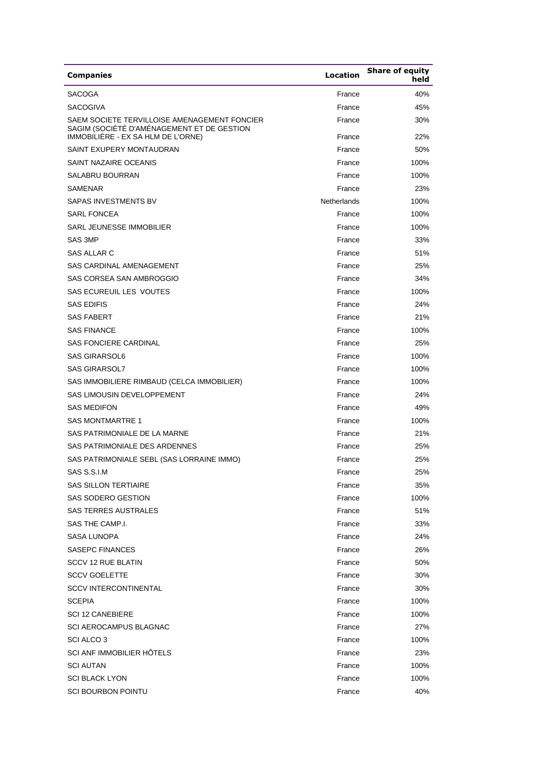| <b>Companies</b>                                                                                                                 | <b>Location</b>  | <b>Share of equity</b><br>held |
|----------------------------------------------------------------------------------------------------------------------------------|------------------|--------------------------------|
| <b>SACOGA</b>                                                                                                                    | France           | 40%                            |
| <b>SACOGIVA</b>                                                                                                                  | France           | 45%                            |
| SAEM SOCIETE TERVILLOISE AMENAGEMENT FONCIER<br>SAGIM (SOCIÉTÉ D'AMÉNAGEMENT ET DE GESTION<br>IMMOBILIÈRE - EX SA HLM DE L'ORNE) | France<br>France | 30%<br>22%                     |
| SAINT EXUPERY MONTAUDRAN                                                                                                         | France           | 50%                            |
| SAINT NAZAIRE OCEANIS                                                                                                            | France           | 100%                           |
| <b>SALABRU BOURRAN</b>                                                                                                           | France           | 100%                           |
| <b>SAMENAR</b>                                                                                                                   | France           | 23%                            |
| SAPAS INVESTMENTS BV                                                                                                             | Netherlands      | 100%                           |
| <b>SARL FONCEA</b>                                                                                                               | France           | 100%                           |
| SARL JEUNESSE IMMOBILIER                                                                                                         | France           | 100%                           |
| SAS 3MP                                                                                                                          | France           |                                |
| SAS ALLAR C                                                                                                                      | France           | 33%<br>51%                     |
|                                                                                                                                  |                  |                                |
| SAS CARDINAL AMENAGEMENT                                                                                                         | France           | 25%                            |
| SAS CORSEA SAN AMBROGGIO                                                                                                         | France           | 34%                            |
| SAS ECUREUIL LES VOUTES                                                                                                          | France           | 100%                           |
| <b>SAS EDIFIS</b>                                                                                                                | France           | 24%                            |
| <b>SAS FABERT</b>                                                                                                                | France           | 21%                            |
| <b>SAS FINANCE</b>                                                                                                               | France           | 100%                           |
| <b>SAS FONCIERE CARDINAL</b>                                                                                                     | France           | 25%                            |
| <b>SAS GIRARSOL6</b>                                                                                                             | France           | 100%                           |
| <b>SAS GIRARSOL7</b>                                                                                                             | France           | 100%                           |
| SAS IMMOBILIERE RIMBAUD (CELCA IMMOBILIER)                                                                                       | France           | 100%                           |
| <b>SAS LIMOUSIN DEVELOPPEMENT</b>                                                                                                | France           | 24%                            |
| <b>SAS MEDIFON</b>                                                                                                               | France           | 49%                            |
| <b>SAS MONTMARTRE 1</b>                                                                                                          | France           | 100%                           |
| SAS PATRIMONIALE DE LA MARNE                                                                                                     | France           | 21%                            |
| SAS PATRIMONIALE DES ARDENNES                                                                                                    | France           | 25%                            |
| SAS PATRIMONIALE SEBL (SAS LORRAINE IMMO)                                                                                        | France           | 25%                            |
| SAS S.S.I.M                                                                                                                      | France           | 25%                            |
| <b>SAS SILLON TERTIAIRE</b>                                                                                                      | France           | 35%                            |
| <b>SAS SODERO GESTION</b>                                                                                                        | France           | 100%                           |
| <b>SAS TERRES AUSTRALES</b>                                                                                                      | France           | 51%                            |
| SAS THE CAMP.I.                                                                                                                  | France           | 33%                            |
| SASA LUNOPA                                                                                                                      | France           | 24%                            |
| SASEPC FINANCES                                                                                                                  | France           | 26%                            |
| <b>SCCV 12 RUE BLATIN</b>                                                                                                        | France           | 50%                            |
| <b>SCCV GOELETTE</b>                                                                                                             | France           | 30%                            |
| <b>SCCV INTERCONTINENTAL</b>                                                                                                     | France           | 30%                            |
| <b>SCEPIA</b>                                                                                                                    | France           | 100%                           |
| <b>SCI 12 CANEBIERE</b>                                                                                                          | France           | 100%                           |
| <b>SCI AEROCAMPUS BLAGNAC</b>                                                                                                    | France           | 27%                            |
| SCI ALCO 3                                                                                                                       | France           | 100%                           |
| SCI ANF IMMOBILIER HÔTELS                                                                                                        | France           | 23%                            |
| <b>SCI AUTAN</b>                                                                                                                 | France           | 100%                           |
| <b>SCI BLACK LYON</b>                                                                                                            | France           | 100%                           |
| <b>SCI BOURBON POINTU</b>                                                                                                        | France           | 40%                            |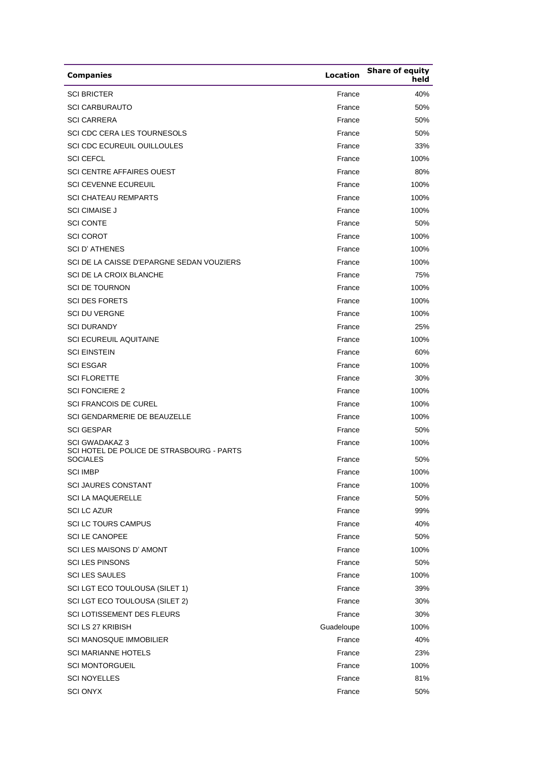| <b>Companies</b>                                                                      | Location         | <b>Share of equity</b><br>held |
|---------------------------------------------------------------------------------------|------------------|--------------------------------|
| <b>SCI BRICTER</b>                                                                    | France           | 40%                            |
| <b>SCI CARBURAUTO</b>                                                                 | France           | 50%                            |
| <b>SCI CARRERA</b>                                                                    | France           | 50%                            |
| SCI CDC CERA LES TOURNESOLS                                                           | France           | 50%                            |
| <b>SCI CDC ECUREUIL OUILLOULES</b>                                                    | France           | 33%                            |
| <b>SCI CEFCL</b>                                                                      | France           | 100%                           |
| <b>SCI CENTRE AFFAIRES OUEST</b>                                                      | France           | 80%                            |
| <b>SCI CEVENNE ECUREUIL</b>                                                           | France           | 100%                           |
| <b>SCI CHATEAU REMPARTS</b>                                                           | France           | 100%                           |
| <b>SCI CIMAISE J</b>                                                                  | France           | 100%                           |
| <b>SCI CONTE</b>                                                                      | France           | 50%                            |
| <b>SCI COROT</b>                                                                      | France           | 100%                           |
| <b>SCI D'ATHENES</b>                                                                  | France           | 100%                           |
| SCI DE LA CAISSE D'EPARGNE SEDAN VOUZIERS                                             | France           | 100%                           |
| <b>SCI DE LA CROIX BLANCHE</b>                                                        | France           | 75%                            |
| <b>SCI DE TOURNON</b>                                                                 | France           | 100%                           |
| <b>SCI DES FORETS</b>                                                                 | France           | 100%                           |
| <b>SCI DU VERGNE</b>                                                                  | France           | 100%                           |
| <b>SCI DURANDY</b>                                                                    | France           | 25%                            |
| <b>SCI ECUREUIL AQUITAINE</b>                                                         | France           | 100%                           |
| <b>SCI EINSTEIN</b>                                                                   | France           | 60%                            |
| <b>SCI ESGAR</b>                                                                      | France           | 100%                           |
| <b>SCI FLORETTE</b>                                                                   | France           | 30%                            |
| <b>SCI FONCIERE 2</b>                                                                 | France           | 100%                           |
| <b>SCI FRANCOIS DE CUREL</b>                                                          | France           | 100%                           |
| SCI GENDARMERIE DE BEAUZELLE                                                          | France           | 100%                           |
| <b>SCI GESPAR</b>                                                                     | France           | 50%                            |
| <b>SCI GWADAKAZ 3</b><br>SCI HOTEL DE POLICE DE STRASBOURG - PARTS<br><b>SOCIALES</b> | France           | 100%                           |
| <b>SCI IMBP</b>                                                                       | France           | 50%<br>100%                    |
|                                                                                       | France           |                                |
| <b>SCI JAURES CONSTANT</b>                                                            | France<br>France | 100%                           |
| <b>SCI LA MAQUERELLE</b>                                                              | France           | 50%                            |
| <b>SCI LC AZUR</b><br><b>SCI LC TOURS CAMPUS</b>                                      |                  | 99%                            |
| <b>SCI LE CANOPEE</b>                                                                 | France<br>France | 40%                            |
| SCI LES MAISONS D'AMONT                                                               | France           | 50%                            |
| <b>SCI LES PINSONS</b>                                                                | France           | 100%<br>50%                    |
| <b>SCI LES SAULES</b>                                                                 | France           | 100%                           |
| SCI LGT ECO TOULOUSA (SILET 1)                                                        | France           | 39%                            |
| SCI LGT ECO TOULOUSA (SILET 2)                                                        | France           | 30%                            |
| <b>SCI LOTISSEMENT DES FLEURS</b>                                                     | France           | 30%                            |
| <b>SCI LS 27 KRIBISH</b>                                                              | Guadeloupe       |                                |
| <b>SCI MANOSQUE IMMOBILIER</b>                                                        | France           | 100%<br>40%                    |
| <b>SCI MARIANNE HOTELS</b>                                                            | France           |                                |
| <b>SCI MONTORGUEIL</b>                                                                | France           | 23%<br>100%                    |
| <b>SCI NOYELLES</b>                                                                   |                  |                                |
| <b>SCI ONYX</b>                                                                       | France<br>France | 81%<br>50%                     |
|                                                                                       |                  |                                |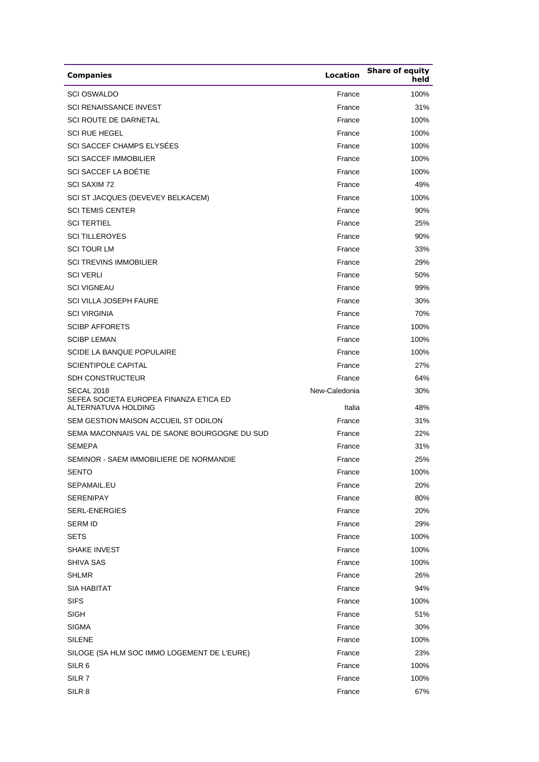| <b>Companies</b>                                                                   | Location                | <b>Share of equity</b><br>held |
|------------------------------------------------------------------------------------|-------------------------|--------------------------------|
| <b>SCI OSWALDO</b>                                                                 | France                  | 100%                           |
| <b>SCI RENAISSANCE INVEST</b>                                                      | France                  | 31%                            |
| <b>SCI ROUTE DE DARNETAL</b>                                                       | France                  | 100%                           |
| <b>SCI RUE HEGEL</b>                                                               | France                  | 100%                           |
| SCI SACCEF CHAMPS ELYSÉES                                                          | France                  | 100%                           |
| <b>SCI SACCEF IMMOBILIER</b>                                                       | France                  | 100%                           |
| SCI SACCEF LA BOÉTIE                                                               | France                  | 100%                           |
| <b>SCI SAXIM 72</b>                                                                | France                  | 49%                            |
| SCI ST JACQUES (DEVEVEY BELKACEM)                                                  | France                  | 100%                           |
| <b>SCI TEMIS CENTER</b>                                                            | France                  | 90%                            |
| <b>SCI TERTIEL</b>                                                                 | France                  | 25%                            |
| <b>SCI TILLEROYES</b>                                                              | France                  | 90%                            |
| <b>SCI TOUR LM</b>                                                                 | France                  | 33%                            |
| <b>SCI TREVINS IMMOBILIER</b>                                                      | France                  | 29%                            |
| <b>SCI VERLI</b>                                                                   | France                  | 50%                            |
| <b>SCI VIGNEAU</b>                                                                 | France                  | 99%                            |
| <b>SCI VILLA JOSEPH FAURE</b>                                                      | France                  | 30%                            |
| <b>SCI VIRGINIA</b>                                                                | France                  | 70%                            |
| <b>SCIBP AFFORETS</b>                                                              | France                  | 100%                           |
| <b>SCIBP LEMAN</b>                                                                 | France                  | 100%                           |
| <b>SCIDE LA BANQUE POPULAIRE</b>                                                   | France                  | 100%                           |
| <b>SCIENTIPOLE CAPITAL</b>                                                         | France                  | 27%                            |
| <b>SDH CONSTRUCTEUR</b>                                                            | France                  | 64%                            |
| <b>SECAL 2018</b><br>SEFEA SOCIETA EUROPEA FINANZA ETICA ED<br>ALTERNATUVA HOLDING | New-Caledonia<br>Italia | 30%<br>48%                     |
| SEM GESTION MAISON ACCUEIL ST ODILON                                               | France                  | 31%                            |
| SEMA MACONNAIS VAL DE SAONE BOURGOGNE DU SUD                                       | France                  | 22%                            |
| <b>SEMEPA</b>                                                                      | France                  | 31%                            |
| SEMINOR - SAEM IMMOBILIERE DE NORMANDIE                                            | France                  | 25%                            |
| <b>SENTO</b>                                                                       | France                  | 100%                           |
| SEPAMAIL.EU                                                                        | France                  | 20%                            |
| <b>SERENIPAY</b>                                                                   | France                  | 80%                            |
| SERL-ENERGIES                                                                      | France                  | 20%                            |
| <b>SERM ID</b>                                                                     | France                  | 29%                            |
| <b>SETS</b>                                                                        | France                  | 100%                           |
| <b>SHAKE INVEST</b>                                                                | France                  | 100%                           |
| SHIVA SAS                                                                          | France                  | 100%                           |
| <b>SHLMR</b>                                                                       | France                  | 26%                            |
| <b>SIA HABITAT</b>                                                                 | France                  | 94%                            |
| <b>SIFS</b>                                                                        | France                  | 100%                           |
| <b>SIGH</b>                                                                        | France                  | 51%                            |
| <b>SIGMA</b>                                                                       | France                  | 30%                            |
| <b>SILENE</b>                                                                      | France                  | 100%                           |
| SILOGE (SA HLM SOC IMMO LOGEMENT DE L'EURE)                                        | France                  | 23%                            |
| SILR <sub>6</sub>                                                                  | France                  | 100%                           |
| SILR 7                                                                             | France                  | 100%                           |
| SILR 8                                                                             | France                  | 67%                            |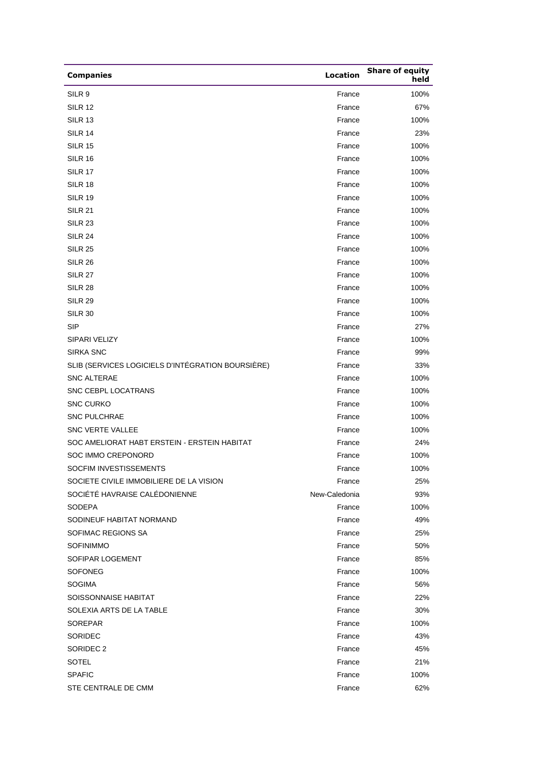| <b>Companies</b>                                  | <b>Location</b> | <b>Share of equity</b><br>held |
|---------------------------------------------------|-----------------|--------------------------------|
| SILR <sub>9</sub>                                 | France          | 100%                           |
| <b>SILR 12</b>                                    | France          | 67%                            |
| <b>SILR 13</b>                                    | France          | 100%                           |
| <b>SILR 14</b>                                    | France          | 23%                            |
| <b>SILR 15</b>                                    | France          | 100%                           |
| <b>SILR 16</b>                                    | France          | 100%                           |
| <b>SILR 17</b>                                    | France          | 100%                           |
| <b>SILR 18</b>                                    | France          | 100%                           |
| <b>SILR 19</b>                                    | France          | 100%                           |
| <b>SILR 21</b>                                    | France          | 100%                           |
| <b>SILR 23</b>                                    | France          | 100%                           |
| <b>SILR 24</b>                                    | France          | 100%                           |
| <b>SILR 25</b>                                    | France          | 100%                           |
| <b>SILR 26</b>                                    | France          | 100%                           |
| <b>SILR 27</b>                                    | France          | 100%                           |
| <b>SILR 28</b>                                    | France          | 100%                           |
| <b>SILR 29</b>                                    | France          | 100%                           |
| <b>SILR 30</b>                                    | France          | 100%                           |
| <b>SIP</b>                                        | France          | 27%                            |
| SIPARI VELIZY                                     | France          | 100%                           |
| SIRKA SNC                                         | France          | 99%                            |
| SLIB (SERVICES LOGICIELS D'INTÉGRATION BOURSIÈRE) | France          | 33%                            |
| <b>SNC ALTERAE</b>                                | France          | 100%                           |
| SNC CEBPL LOCATRANS                               | France          | 100%                           |
| <b>SNC CURKO</b>                                  | France          | 100%                           |
| <b>SNC PULCHRAE</b>                               | France          | 100%                           |
| SNC VERTE VALLEE                                  | France          | 100%                           |
| SOC AMELIORAT HABT ERSTEIN - ERSTEIN HABITAT      | France          | 24%                            |
| SOC IMMO CREPONORD                                | France          | 100%                           |
| SOCFIM INVESTISSEMENTS                            | France          | 100%                           |
| SOCIETE CIVILE IMMOBILIERE DE LA VISION           | France          | 25%                            |
| SOCIÉTÉ HAVRAISE CALÉDONIENNE                     | New-Caledonia   | 93%                            |
| SODEPA                                            | France          | 100%                           |
| SODINEUF HABITAT NORMAND                          | France          | 49%                            |
| SOFIMAC REGIONS SA                                | France          | 25%                            |
| <b>SOFINIMMO</b>                                  | France          | 50%                            |
| SOFIPAR LOGEMENT                                  | France          | 85%                            |
| SOFONEG                                           | France          | 100%                           |
| <b>SOGIMA</b>                                     | France          | 56%                            |
| SOISSONNAISE HABITAT                              | France          | 22%                            |
| SOLEXIA ARTS DE LA TABLE                          | France          | 30%                            |
| SOREPAR                                           | France          | 100%                           |
| SORIDEC                                           | France          | 43%                            |
| SORIDEC 2                                         | France          | 45%                            |
| SOTEL                                             | France          | 21%                            |
| <b>SPAFIC</b>                                     | France          | 100%                           |
| STE CENTRALE DE CMM                               | France          | 62%                            |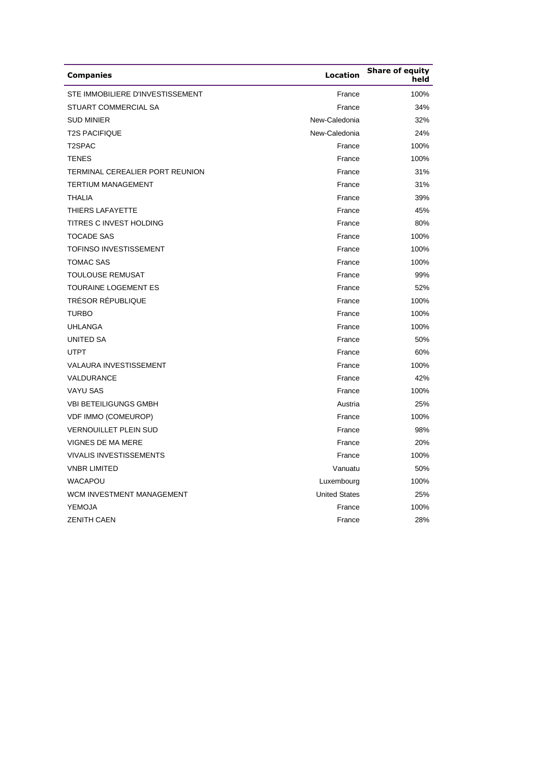| <b>Companies</b>                 | Location             | <b>Share of equity</b><br>held |
|----------------------------------|----------------------|--------------------------------|
| STE IMMOBILIERE D'INVESTISSEMENT | France               | 100%                           |
| STUART COMMERCIAL SA             | France               | 34%                            |
| <b>SUD MINIER</b>                | New-Caledonia        | 32%                            |
| <b>T2S PACIFIQUE</b>             | New-Caledonia        | 24%                            |
| T <sub>2</sub> SPAC              | France               | 100%                           |
| <b>TENES</b>                     | France               | 100%                           |
| TERMINAL CEREALIER PORT REUNION  | France               | 31%                            |
| <b>TERTIUM MANAGEMENT</b>        | France               | 31%                            |
| <b>THALIA</b>                    | France               | 39%                            |
| THIERS LAFAYETTE                 | France               | 45%                            |
| TITRES C INVEST HOLDING          | France               | 80%                            |
| <b>TOCADE SAS</b>                | France               | 100%                           |
| <b>TOFINSO INVESTISSEMENT</b>    | France               | 100%                           |
| <b>TOMAC SAS</b>                 | France               | 100%                           |
| <b>TOULOUSE REMUSAT</b>          | France               | 99%                            |
| <b>TOURAINE LOGEMENT ES</b>      | France               | 52%                            |
| <b>TRÉSOR RÉPUBLIQUE</b>         | France               | 100%                           |
| <b>TURBO</b>                     | France               | 100%                           |
| <b>UHLANGA</b>                   | France               | 100%                           |
| <b>UNITED SA</b>                 | France               | 50%                            |
| <b>UTPT</b>                      | France               | 60%                            |
| <b>VALAURA INVESTISSEMENT</b>    | France               | 100%                           |
| VALDURANCE                       | France               | 42%                            |
| <b>VAYU SAS</b>                  | France               | 100%                           |
| <b>VBI BETEILIGUNGS GMBH</b>     | Austria              | 25%                            |
| <b>VDF IMMO (COMEUROP)</b>       | France               | 100%                           |
| <b>VERNOUILLET PLEIN SUD</b>     | France               | 98%                            |
| <b>VIGNES DE MA MERE</b>         | France               | 20%                            |
| <b>VIVALIS INVESTISSEMENTS</b>   | France               | 100%                           |
| <b>VNBR LIMITED</b>              | Vanuatu              | 50%                            |
| <b>WACAPOU</b>                   | Luxembourg           | 100%                           |
| WCM INVESTMENT MANAGEMENT        | <b>United States</b> | 25%                            |
| <b>YEMOJA</b>                    | France               | 100%                           |
| <b>ZENITH CAEN</b>               | France               | 28%                            |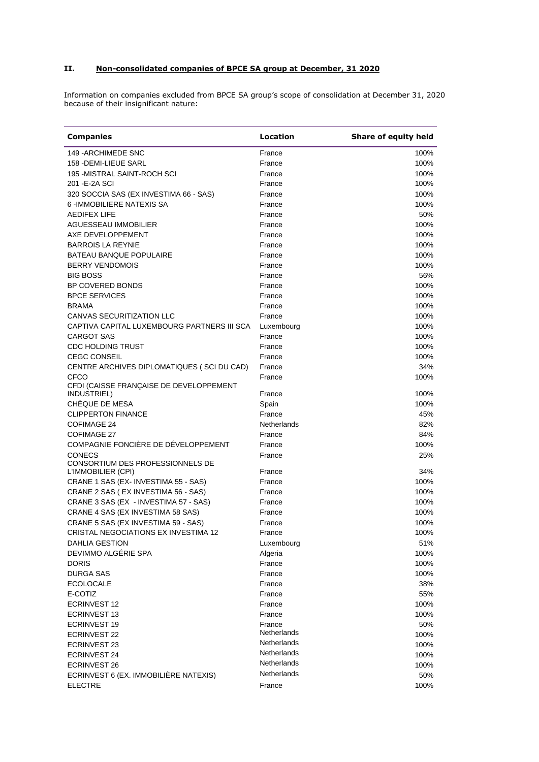## **II. Non-consolidated companies of BPCE SA group at December, 31 2020**

Information on companies excluded from BPCE SA group's scope of consolidation at December 31, 2020 because of their insignificant nature:

| <b>Companies</b>                            | Location         | Share of equity held |
|---------------------------------------------|------------------|----------------------|
| 149 - ARCHIMEDE SNC                         | France           | 100%                 |
| 158 - DEMI-LIEUE SARL                       | France           | 100%                 |
| 195 - MISTRAL SAINT-ROCH SCI                | France           | 100%                 |
| 201 - E-2A SCI                              | France           | 100%                 |
| 320 SOCCIA SAS (EX INVESTIMA 66 - SAS)      | France           | 100%                 |
| 6 - IMMOBILIERE NATEXIS SA                  | France           | 100%                 |
| <b>AEDIFEX LIFE</b>                         | France           | 50%                  |
| AGUESSEAU IMMOBILIER                        | France           | 100%                 |
| AXE DEVELOPPEMENT                           | France           | 100%                 |
| <b>BARROIS LA REYNIE</b>                    | France           | 100%                 |
| <b>BATEAU BANQUE POPULAIRE</b>              | France           | 100%                 |
| <b>BERRY VENDOMOIS</b>                      | France           | 100%                 |
| <b>BIG BOSS</b>                             | France           | 56%                  |
| BP COVERED BONDS                            | France           | 100%                 |
| <b>BPCE SERVICES</b>                        | France           | 100%                 |
| <b>BRAMA</b>                                | France           | 100%                 |
| CANVAS SECURITIZATION LLC                   | France           | 100%                 |
| CAPTIVA CAPITAL LUXEMBOURG PARTNERS III SCA | Luxembourg       | 100%                 |
| <b>CARGOT SAS</b>                           | France           | 100%                 |
| <b>CDC HOLDING TRUST</b>                    | France           | 100%                 |
| <b>CEGC CONSEIL</b>                         | France           | 100%                 |
| CENTRE ARCHIVES DIPLOMATIQUES (SCI DU CAD)  | France           | 34%                  |
| <b>CFCO</b>                                 | France           | 100%                 |
| CFDI (CAISSE FRANÇAISE DE DEVELOPPEMENT     |                  |                      |
| INDUSTRIEL)                                 | France           | 100%                 |
| CHÈQUE DE MESA                              | Spain            | 100%                 |
| <b>CLIPPERTON FINANCE</b>                   | France           | 45%                  |
| <b>COFIMAGE 24</b>                          | Netherlands      | 82%                  |
| <b>COFIMAGE 27</b>                          | France           | 84%                  |
| COMPAGNIE FONCIÈRE DE DÉVELOPPEMENT         | France           | 100%                 |
| <b>CONECS</b>                               | France           | 25%                  |
| CONSORTIUM DES PROFESSIONNELS DE            |                  |                      |
| L'IMMOBILIER (CPI)                          | France<br>France | 34%                  |
| CRANE 1 SAS (EX-INVESTIMA 55 - SAS)         |                  | 100%                 |
| CRANE 2 SAS (EX INVESTIMA 56 - SAS)         | France           | 100%                 |
| CRANE 3 SAS (EX - INVESTIMA 57 - SAS)       | France           | 100%                 |
| CRANE 4 SAS (EX INVESTIMA 58 SAS)           | France           | 100%                 |
| CRANE 5 SAS (EX INVESTIMA 59 - SAS)         | France           | 100%                 |
| CRISTAL NEGOCIATIONS EX INVESTIMA 12        | France           | 100%                 |
| <b>DAHLIA GESTION</b>                       | Luxembourg       | 51%                  |
| DEVIMMO ALGÉRIE SPA                         | Algeria          | 100%                 |
| <b>DORIS</b>                                | France           | 100%                 |
| <b>DURGA SAS</b>                            | France           | 100%                 |
| <b>ECOLOCALE</b>                            | France           | 38%                  |
| E-COTIZ                                     | France           | 55%                  |
| <b>ECRINVEST 12</b>                         | France           | 100%                 |
| <b>ECRINVEST 13</b>                         | France           | 100%                 |
| <b>ECRINVEST 19</b>                         | France           | 50%                  |
| <b>ECRINVEST 22</b>                         | Netherlands      | 100%                 |
| <b>ECRINVEST 23</b>                         | Netherlands      | 100%                 |
| <b>ECRINVEST 24</b>                         | Netherlands      | 100%                 |
| <b>ECRINVEST 26</b>                         | Netherlands      | 100%                 |
| ECRINVEST 6 (EX. IMMOBILIÈRE NATEXIS)       | Netherlands      | 50%                  |
| <b>ELECTRE</b>                              | France           | 100%                 |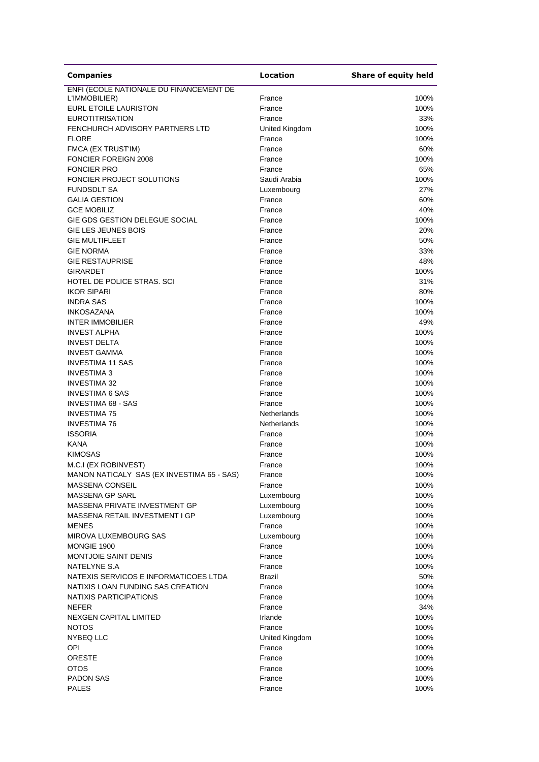| <b>Companies</b>                              | <b>Location</b>       | Share of equity held |
|-----------------------------------------------|-----------------------|----------------------|
| ENFI (ECOLE NATIONALE DU FINANCEMENT DE       |                       |                      |
| L'IMMOBILIER)                                 | France                | 100%                 |
| EURL ETOILE LAURISTON                         | France                | 100%                 |
| <b>EUROTITRISATION</b>                        | France                | 33%                  |
| FENCHURCH ADVISORY PARTNERS LTD               | United Kingdom        | 100%                 |
| <b>FLORE</b>                                  | France                | 100%                 |
| FMCA (EX TRUST'IM)                            | France                | 60%                  |
| <b>FONCIER FOREIGN 2008</b>                   | France                | 100%                 |
| <b>FONCIER PRO</b>                            | France                | 65%                  |
| FONCIER PROJECT SOLUTIONS                     | Saudi Arabia          | 100%                 |
| <b>FUNDSDLT SA</b>                            | Luxembourg            | 27%                  |
| <b>GALIA GESTION</b>                          | France                | 60%                  |
| <b>GCE MOBILIZ</b>                            | France                | 40%                  |
| GIE GDS GESTION DELEGUE SOCIAL                | France                | 100%                 |
| GIE LES JEUNES BOIS                           | France                | 20%                  |
| <b>GIE MULTIFLEET</b>                         | France                | 50%                  |
| <b>GIE NORMA</b>                              | France                | 33%                  |
| <b>GIE RESTAUPRISE</b>                        | France                | 48%                  |
| <b>GIRARDET</b>                               | France                | 100%                 |
| HOTEL DE POLICE STRAS, SCI                    | France                | 31%                  |
| <b>IKOR SIPARI</b>                            | France                | 80%                  |
| <b>INDRA SAS</b>                              | France                | 100%                 |
| <b>INKOSAZANA</b>                             | France                | 100%                 |
| <b>INTER IMMOBILIER</b>                       | France                | 49%                  |
| <b>INVEST ALPHA</b>                           | France                | 100%                 |
| <b>INVEST DELTA</b>                           | France                | 100%                 |
| <b>INVEST GAMMA</b>                           | France                | 100%                 |
| <b>INVESTIMA 11 SAS</b>                       | France                | 100%                 |
| <b>INVESTIMA 3</b>                            | France                | 100%                 |
| <b>INVESTIMA 32</b><br><b>INVESTIMA 6 SAS</b> | France<br>France      | 100%<br>100%         |
| <b>INVESTIMA 68 - SAS</b>                     | France                | 100%                 |
| <b>INVESTIMA 75</b>                           | Netherlands           | 100%                 |
| <b>INVESTIMA 76</b>                           | Netherlands           | 100%                 |
| <b>ISSORIA</b>                                | France                | 100%                 |
| <b>KANA</b>                                   | France                | 100%                 |
| <b>KIMOSAS</b>                                | France                | 100%                 |
| M.C.I (EX ROBINVEST)                          | France                | 100%                 |
| MANON NATICALY SAS (EX INVESTIMA 65 - SAS)    | France                | 100%                 |
| MASSENA CONSEIL                               | France                | 100%                 |
| <b>MASSENA GP SARL</b>                        | Luxembourg            | 100%                 |
| MASSENA PRIVATE INVESTMENT GP                 | Luxembourg            | 100%                 |
| MASSENA RETAIL INVESTMENT I GP                | Luxembourg            | 100%                 |
| <b>MENES</b>                                  | France                | 100%                 |
| MIROVA LUXEMBOURG SAS                         | Luxembourg            | 100%                 |
| MONGIE 1900                                   | France                | 100%                 |
| <b>MONTJOIE SAINT DENIS</b>                   | France                | 100%                 |
| NATELYNE S.A                                  | France                | 100%                 |
| NATEXIS SERVICOS E INFORMATICOES LTDA         | Brazil                | 50%                  |
| NATIXIS LOAN FUNDING SAS CREATION             | France                | 100%                 |
| NATIXIS PARTICIPATIONS                        | France                | 100%                 |
| <b>NEFER</b>                                  | France                | 34%                  |
| <b>NEXGEN CAPITAL LIMITED</b>                 | Irlande               | 100%                 |
| <b>NOTOS</b>                                  | France                | 100%                 |
| NYBEQ LLC                                     | <b>United Kingdom</b> | 100%                 |
| OPI                                           | France                | 100%                 |
| <b>ORESTE</b>                                 | France                | 100%                 |
| <b>OTOS</b>                                   | France                | 100%                 |
| <b>PADON SAS</b>                              | France                | 100%                 |
| <b>PALES</b>                                  | France                | 100%                 |